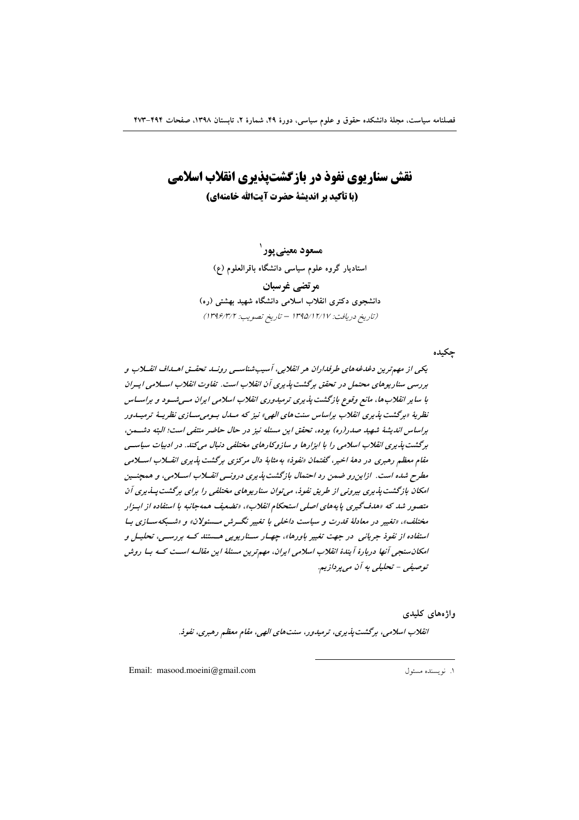# **نقش سناریوی نفوذ در بازگشتپذیری انقلاب اسلامی (با تأكيد بر انديشة حضرت آيتالله خامنهاي)**

**مسعود معینی پور ۱** استادیار گروه علوم سیاسی دانشگاه باقرالعلوم (ع) **مر تضي غرسبان** دانشجوی دکتری انقلاب اسلامی دانشگاه شهید بهشتی (ره) (تاریخ دریافت: ۱۳۹۵/۱۲/۱۷ – تاریخ تصویب: ۱۳۹۶/۳/۲)

چکیده

یک*ی اذ مهم تر*ین دغدغه های طرفداران هر انقلابی، آسیب شناسـی رونــد تحقــق اهــداف انقــلاب و بررسی سناریوهای محتمل در تحقق برگشت پذیری آن انقلاب است. تفاوت انقلاب اسـلامی ایـران با سایر انقلاب ها، مانع وقوع بازگشت پذیری ترمیدوری انقلاب اسلامی ایران مسی شسود و براســاس نظريهٔ «برگشت پذيري انقلاب براساس سنت هاي الهي» نيز كه مــلـل بـوميســازي نظريــهٔ ترميــلـور براساس انديشهٔ شهيد صدر(ره) بوده، تحقق اين مسئله نيز در حال حاضر منتفي است؛ البته دشــمن، برگشت پذیری انقلاب اسلامی را با ابزارها و سازوکارهای مختلفی دنبال میکند. در ادبیات سیاســی مقام معظم رهبری در دههٔ اخیر، گفتمان «نفوذ» به مثابهٔ دال مرکزی برگشت پذیری انقــلاب اســلامی مطرح شده است. ازاین رو ضمن رد احتمال بازگشت پذیری درونسی انقسلاب اسـلامی، و همچنــین امکان بازگشت پذیری بیرونی از طریق نفوذ، می توان سناریوهای مختلفی را برای برگشت پــلایری آن متصور شد که «هدف گیری پایههای اصلی استحکام انقلاب»، «تضعیف همهجانبه با استفاده از ابــزار مختلف»، «تغییر در معادلهٔ قدرت و سیاست داخلی با تغییر نگــرش مـــشولان» و «شــبکهســازی بــا استفاده از نفوذ جریانی در جهت تغییر باورها»، چهـار سـناریویی هـستند کـه بررســی، تحلیــل و امکان سنجی آنها دربارهٔ آیندهٔ انقلاب اسلامی ایران، مهم ترین مسئلهٔ این مقالــه اســت کــه بــا روش توصي*في - تحليلي به آن ميپرداز*يم.

> واژەھا*ى* كليدى انقلاب اسلامی، برگشت پذیری، ترمیدور، سنتهای الهی، مقام معظم رهبری، نفوذ.

> > $\overline{a}$

Email: masood.moeini@gmail.com 1 .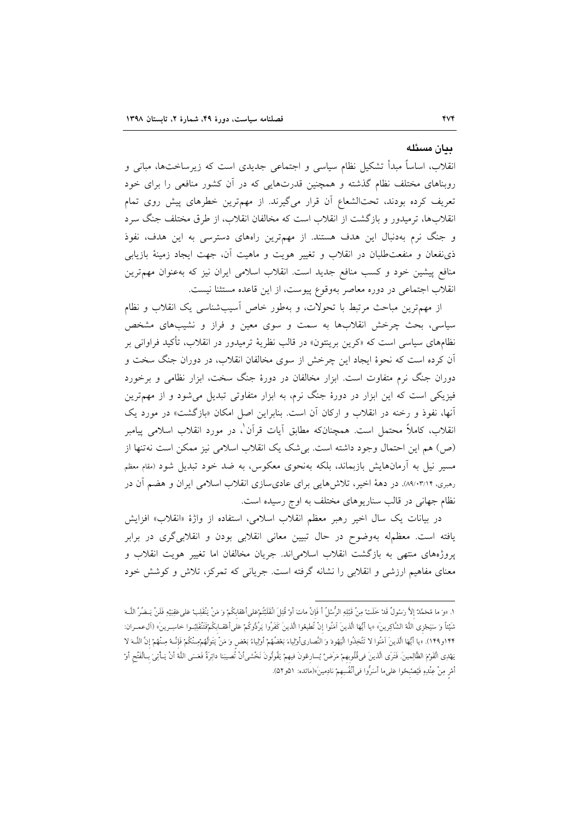#### ىيان مسئله

انقلاب، اساساً مبدأ تشکیل نظام سیاسی و اجتماعی جدیدی است که زیرساختها، مبانی و روبناهای مختلف نظام گذشته و همچنین قدرتهایی که در أن کشور منافعی را برای خود تعریف کرده بودند، تحتالشعاع آن قرار میگیرند. از مهمترین خطرهای پیش روی تمام انقلابها، ترمیدور و بازگشت از انقلاب است که مخالفان انقلاب، از طرق مختلف جنگ سرد و جنگ نرم بهدنبال این هدف هستند. از مهمترین راههای دسترسی به این هدف، نفوذ ذي نفعان و منفعت طلبان در انقلاب و تغيير هويت و ماهيت آن، جهت ايجاد زمينهٔ بازيابي منافع پیشین خود و کسب منافع جدید است. انقلاب اسلامی ایران نیز که بهعنوان مهمترین انقلاب اجتماعی در دوره معاصر بهوقوع پیوست، از این قاعده مستثنا نیست.

از مهمترین مباحث مرتبط با تحولات، و بهطور خاص آسیبشناسی یک انقلاب و نظام سیاسی، بحث چرخش انقلابها به سمت و سوی معین و فراز و نشیبهای مشخص نظامهای سیاسی است که «کرین برینتون» در قالب نظریهٔ ترمیدور در انقلاب، تأکید فراوانی بر آن کرده است که نحوهٔ ایجاد این چرخش از سوی مخالفان انقلاب، در دوران جنگ سخت و دوران جنگ نرم متفاوت است. ابزار مخالفان در دورهٔ جنگ سخت، ابزار نظامی و برخورد فیزیکی است که این ابزار در دورهٔ جنگ نرم، به ابزار متفاوتی تبدیل میشود و از مهمترین آنها، نفوذ و رخنه در انقلاب و اركان آن است. بنابراين اصل امكان «بازگشت» در مورد يک انقلاب، كاملاً محتمل است. همچنانكه مطابق أيات قرأن ْ، در مورد انقلاب اسلامي پيامبر (ص) هم این احتمال وجود داشته است. بیشک یک انقلاب اسلامی نیز ممکن است نهتنها از مسیر نیل به آرمانهایش بازبماند، بلکه بهنحوی معکوس، به ضد خود تبدیل شود (مقام معظم رمبری، ۸۹/۰۳/۱۴. در دههٔ اخیر، تلاشهایی برای عادیسازی انقلاب اسلامی ایران و هضم آن در نظام جهانی در قالب سناریوهای مختلف به اوج رسیده است.

در بیانات یک سال اخیر رهبر معظم انقلاب اسلامی، استفاده از واژهٔ «انقلاب» افزایش یافته است. معظمله بهوضوح در حال تبیین معانی انقلابی بودن و انقلابیگری در برابر یروژههای منتهی به بازگشت انقلاب اسلامی اند. جریان مخالفان اما تغییر هویت انقلاب و معنای مفاهیم ارزشی و انقلابی را نشانه گرفته است. جریانی که تمرکز، تلاش و کوشش خود

١. «وَ ما مُحَمَّدٌ إلاَّ رَسُولٌ قَدْ خَلَتْ مِنْ قَبْلِهِ الرُّسُلُ أَ فَإِنْ ماتَ أَوْ قُتِلَ انْقَلَبْتُمْعَلىأعْقابكُمْ وَ مَنْ يَنْقَلِبْ عَلىعَقِبَيْهِ فَلَنْ يَـضُرَّ اللَّــهَ شَيْئاً وَ سَيَجْزِى اللَّهُ الشَّاكِرِينَ» «يا أَيُّهَا الَّذينَ آمَنُوا إنْ تُطيعُوا الَّذينَ كَفَرُوا يَرُدُّوكُمْ عَلىأعْقـابِكُمْفَتَنْقَلِبُـوا خاسِـرينَ» (آل0عمـران: ١٣۴و١٢٩). «يا أَيُّهَا الَّذينَ آمَنُوا لا تَتَّخِذُوا الْيَهُودَ وَ النَّصارىأوْلِياءَ بَعْضُهُمْ أولياءُ بَعْض وَ مَنْ يَتَوَلَّهُمْ مِـنْكُمْ فَإِنَّـهُ مِـنْهُمْ إِنَّ اللَّــهَ لا يَهْدِى الْقَوْمَ الظَّالِمينَ. فَتَرَى الّذينَ في قُلُوبهمْ مَرَضٌ يُسارعُونَ فيهمْ يَقُولُونَ نَحْشيأنْ تُصيبَنا دائِرَةٌ فَعَسَى اللّهُ أنْ يَـأْتِيَ بـالْفَتْحِ أوْ أَمْرِ مِنْ عِنْدِهِ فَيُصْبحُوا عَلىما أَسَرُّوا في[ْنْفُسِهمْ نادِمينَ»(مائده: ٥١و٥٢).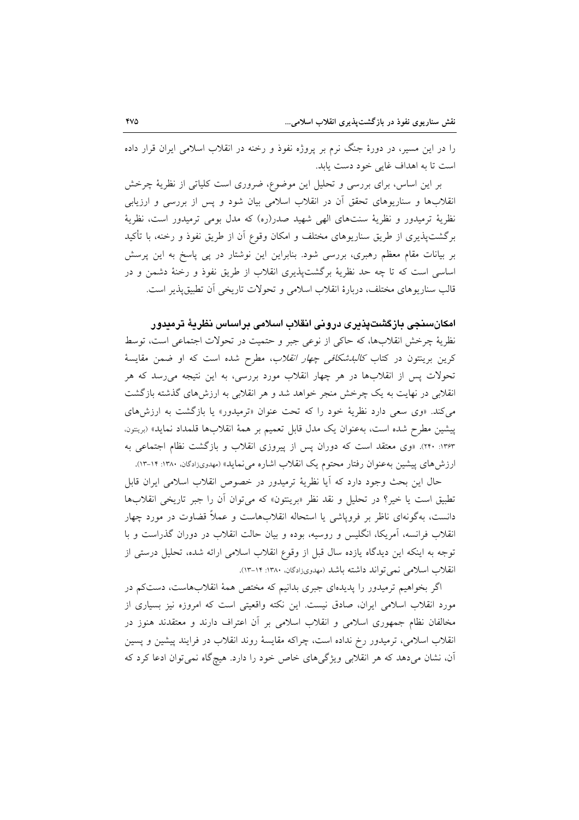را در این مسیر، در دورهٔ جنگ نرم بر پروژه نفوذ و رخنه در انقلاب اسلامی ایران قرار داده است تا به اهداف غایی خود دست باید.

بر این اساس، برای بررسی و تحلیل این موضوع، ضروری است کلیاتی از نظریهٔ چرخش انقلابها و سناریوهای تحقق آن در انقلاب اسلامی بیان شود و پس از بررسی و ارزیابی نظریهٔ ترمیدور و نظریهٔ سنتهای الهی شهید صدر(ره) که مدل بومی ترمیدور است، نظریهٔ برگشتپذیری از طریق سناریوهای مختلف و امکان وقوع آن از طریق نفوذ و رخنه، با تأکید بر بیانات مقام معظم رهبری، بررسی شود. بنابراین این نوشتار در پی پاسخ به این پرسش اساسی است که تا چه حد نظریهٔ برگشتپذیری انقلاب از طریق نفوذ و رخنهٔ دشمن و در قالب سناريوهاي مختلف، دربارة انقلاب اسلامي و تحولات تاريخي أن تطبيق يذير است.

# امكانسنجي بازگشتيذيري دروني انقلاب اسلامي براساس نظريهٔ ترميدور

نظرية چرخش انقلابها، كه حاكي از نوعي جبر و حتميت در تحولات اجتماعي است، توسط کرین برینتون در کتاب *کالبدشکافی چهار انقلاب*، مطرح شده است که او ضمن مقایسهٔ تحولات پس از انقلابها در هر چهار انقلاب مورد بررسی، به این نتیجه میرسد که هر انقلابی در نهایت به یک چرخش منجر خواهد شد و هر انقلابی به ارزشهای گذشته بازگشت می کند. «وی سعی دارد نظریهٔ خود را که تحت عنوان «ترمیدور» یا بازگشت به ارزشهای پیشین مطرح شده است، بهعنوان یک مدل قابل تعمیم بر همهٔ انقلابها قلمداد نماید» (بریتون. ۱۳۶۳: ۲۴۰). «وی معتقد است که دوران پس از پیروزی انقلاب و بازگشت نظام اجتماعی به ارزش های پیشین بهعنوان رفتار محتوم یک انقلاب اشاره می نماید» (مهدویزادگان، ۱۳۸۰: ۱۴-۱۳).

حال اين بحث وجود دارد كه آيا نظريهٔ ترميدور در خصوص انقلاب اسلامي ايران قابل تطبيق است يا خير؟ در تحليل و نقد نظر «برينتون» كه مي توان أن را جبر تاريخي انقلابها دانست، بهگونهای ناظر بر فرویاشی یا استحاله انقلابهاست و عملاً قضاوت در مورد چهار انقلاب فرانسه، آمریکا، انگلیس و روسیه، بوده و بیان حالت انقلاب در دوران گذراست و با توجه به اینکه این دیدگاه یازده سال قبل از وقوع انقلاب اسلامی ارائه شده، تحلیل درستی از انقلاب اسلامی نمی تواند داشته باشد (مهدویزادگان، ۱۳۸۰: ۱۳-۱۳).

اگر بخواهیم ترمیدور را پدیدهای جبری بدانیم که مختص همهٔ انقلابهاست، دستکم در مورد انقلاب اسلامی ایران، صادق نیست. این نکته واقعیتی است که امروزه نیز بسیاری از مخالفان نظام جمهوری اسلامی و انقلاب اسلامی بر آن اعتراف دارند و معتقدند هنوز در انقلاب اسلامی، ترمیدور رخ نداده است، چراکه مقایسهٔ روند انقلاب در فرایند پیشین و پسین آن، نشان میدهد که هر انقلابی ویژگیهای خاص خود را دارد. هیچگاه نمیتوان ادعا کرد که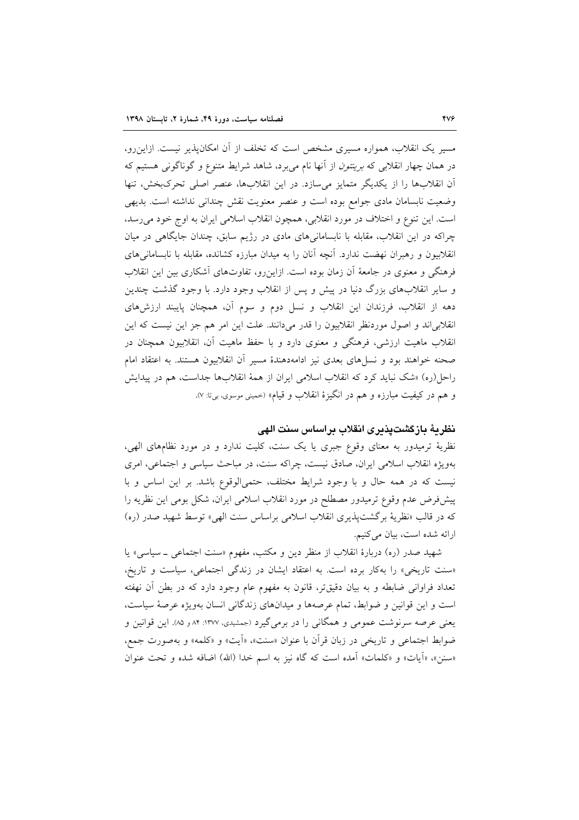مسیر یک انقلاب، همواره مسیری مشخص است که تخلف از آن امکانپذیر نیست. ازاین٫رو، در همان چهار انقلابی که *برینتون* از آنها نام می برد، شاهد شرایط متنوع و گوناگونی هستیم که آن انقلابها را از یکدیگر متمایز میسازد. در این انقلابها، عنصر اصلی تحرک بخش، تنها وضعیت نابسامان مادی جوامع بوده است و عنصر معنویت نقش چندانی نداشته است. بدیهی است. این تنوع و اختلاف در مورد انقلابی، همچون انقلاب اسلامی ایران به اوج خود می رسد، چراکه در این انقلاب، مقابله با نابسامانیهای مادی در رژیم سابق، چندان جایگاهی در میان انقلابیون و رهبران نهضت ندارد. آنچه آنان را به میدان مبارزه کشانده، مقابله با نابسامانیهای فرهنگی و معنوی در جامعهٔ آن زمان بوده است. ازاین رو، تفاوتهای آشکاری بین این انقلاب و سایر انقلابهای بزرگ دنیا در پیش و پس از انقلاب وجود دارد. با وجود گذشت چندین دهه از انقلاب، فرزندان این انقلاب و نسل دوم و سوم آن، همچنان پایبند ارزشهای انقلابی اند و اصول موردنظر انقلابیون را قدر میدانند. علت این امر هم جز این نیست که این انقلاب ماهیت ارزشی، فرهنگی و معنوی دارد و با حفظ ماهیت أن، انقلابیون همچنان در صحنه خواهند بود و نسلهای بعدی نیز ادامهدهندهٔ مسیر آن انقلابیون هستند. به اعتقاد امام راحل(ره) «شک نباید کرد که انقلاب اسلامی ایران از همهٔ انقلابها جداست، هم در پیدایش و هم در کیفیت مبارزه و هم در انگیزهٔ انقلاب و قیام» (خمینی موسوی، بیiت: ۷).

# نظريهٔ بازگشتپذيرى انقلاب براساس سنت الهى

نظریهٔ ترمیدور به معنای وقوع جبری یا یک سنت، کلیت ندارد و در مورد نظامهای الهی، بهویژه انقلاب اسلامی ایران، صادق نیست، چراکه سنت، در مباحث سیاسی و اجتماعی، امری نیست که در همه حال و با وجود شرایط مختلف، حتمیالوقوع باشد. بر این اساس و با پیشفررض عدم وقوع ترمیدور مصطلح در مورد انقلاب اسلامی ایران، شکل بومی این نظریه را كه در قالب «نظرية برگشتپذيري انقلاب اسلامي براساس سنت الهي» توسط شهيد صدر (ره) ارائه شده است، بيان مي كنيم.

شهید صدر (ره) دربارهٔ انقلاب از منظر دین و مکتب، مفهوم «سنت اجتماعی \_ سیاسی» یا «سنت تاریخی» را بهکار برده است. به اعتقاد ایشان در زندگی اجتماعی، سیاست و تاریخ، تعداد فراوانی ضابطه و به بیان دقیقتر، قانون به مفهوم عام وجود دارد که در بطن أن نهفته است و این قوانین و ضوابط، تمام عرصهها و میدانهای زندگانی انسان بهویژه عرصهٔ سیاست، یعنی عرصه سرنوشت عمومی و همگانی را در برمیگیرد (جمشیدی، ۱۳۷۷: ۸۴ و ۸۵). این قوانین و ضوابط اجتماعی و تاریخی در زبان قرأن با عنوان «سنت»، «أیت» و «کلمه» و بهصورت جمع، «سنن»، «أيات» و «كلمات» أمده است كه گاه نيز به اسم خدا (الله) اضافه شده و تحت عنوان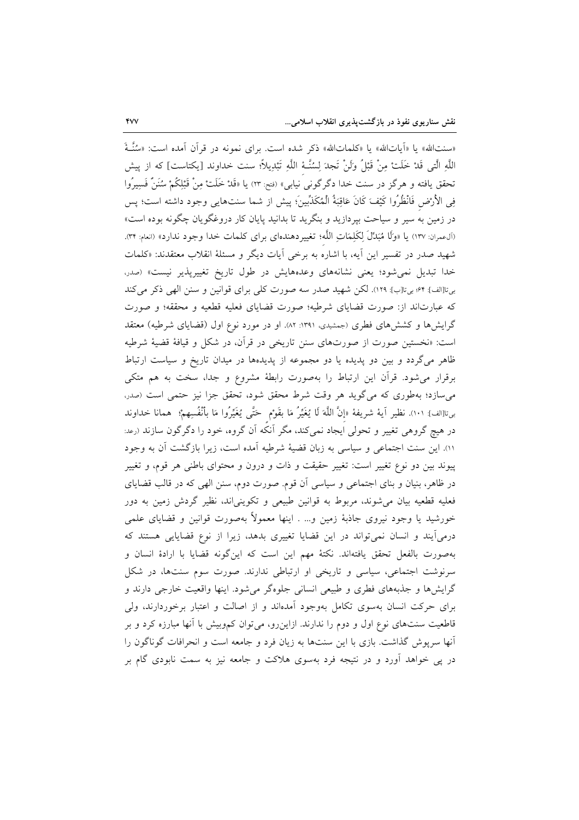«سنتالله» يا «اَياتالله» يا «كلماتالله» ذكر شده است. براي نمونه در قرآن آمده است: «سُنَّـةً اللَّهِ الَّتِي قَدْ خَلَتْ مِنْ قَبْلُ وَلَنْ تَجِدَ لِسُنَّـهُ اللَّهِ تَبْدِيلاً؛ سنت خداوند [يكتاست] كه از ييش تحقق یافته و هرگز در سنت خدا دگرگونی<sup>َ</sup> نیابی» (فتح: ٢٣) یا «قَدْ خَلَتْ مِنْ قَبْلِكُمْ سُنَنٌ فَسِيرُوا فِي الأَرْض فَانْظُرُوا كَيْفَ كَانَ عَاقِبَةُ الْمُكَذِّبِينَ؛ پيش از شما سنتهايي وجود داشته است؛ پس در زمین به سیر و سیاحت بپردازید و بنگرید تا بدانید پایان کار دروغگویان چگونه بوده است» (آل0عمران: ١٣٧) يا «وَلَا هُبَدِّلَ لِكَلِمَاتِ اللَّه؛ تغييرِدهندهاي براي كلمات خدا وجود ندارد» (انعام: ٣٣). شهید صدر در تفسیر این آیه، با اشاره به برخی آیات دیگر و مسئلهٔ انقلاب معتقدند: «کلمات خدا تبدیل نمی شود؛ یعنی نشانههای وعدههایش در طول تاریخ تغییرپذیر نیست» (صدر، بي تا[الف]: ۶۴؛ بي تا[ب]: ١٢٩). لكن شهيد صدر سه صورت كلي براي قوانين و سنن الهي ذكر مي كند که عبارتاند از: صورت قضایای شرطیه؛ صورت قضایای فعلیه قطعیه و محققه؛ و صورت گرایشها و کششهای فطری (جمشیدی، ۱۳۹۱: ۸۲.) او در مورد نوع اول (قضایای شرطیه) معتقد است: «نخستین صورت از صورتهای سنن تاریخی در قرأن، در شکل و قیافهٔ قضیهٔ شرطیه ظاهر میگردد و بین دو پدیده یا دو مجموعه از پدیدهها در میدان تاریخ و سیاست ارتباط برقرار می شود. قرآن این ارتباط را بهصورت رابطهٔ مشروع و جدا، سخت به هم متکی میسازد؛ بهطوری که میگوید هر وقت شرط محقق شود، تحقق جزا نیز حتمی است (صدر، بى¤[الف]: ١٠١). نظير آية شريفة «إنَّ اللَّهَ لَا يُغَيِّرُ مَا بقَوْمٍ حَتَّى يُغَيِّرُوا مَا بأنْفُسِهمْ؛ همانا خداوند در هیچ گروهی تغییر و تحولی ایجاد نمیکند، مگر آنکه آن گروه، خود را دگرگون سازند (رعد: ١١). این سنت اجتماعی و سیاسی به زبان قضیهٔ شرطیه آمده است، زیرا بازگشت آن به وجود پیوند بین دو نوع تغییر است: تغییر حقیقت و ذات و درون و محتوای باطنی هر قوم، و تغییر در ظاهر، بنیان و بنای اجتماعی و سیاسی آن قوم. صورت دوم، سنن الهی که در قالب قضایای فعلیه قطعیه بیان میشوند، مربوط به قوانین طبیعی و تکوینیاند، نظیر گردش زمین به دور خورشید یا وجود نیروی جاذبهٔ زمین و… . اینها معمولاً بهصورت قوانین و قضایای علمی درمیآیند و انسان نمیتواند در این قضایا تغییری بدهد، زیرا از نوع قضایایی هستند که بهصورت بالفعل تحقق يافتهاند. نكتهٔ مهم اين است كه اين گونه قضايا با ارادهٔ انسان و سرنوشت اجتماعی، سیاسی و تاریخی او ارتباطی ندارند. صورت سوم سنتها، در شکل گرایشها و جذبههای فطری و طبیعی انسانی جلوهگر میشود. اینها واقعیت خارجی دارند و برای حرکت انسان بهسوی تکامل بهوجود آمدهاند و از اصالت و اعتبار برخوردارند، ولی قاطعیت سنتهای نوع اول و دوم را ندارند. ازاین٫و، میتوان کموبیش با آنها مبارزه کرد و بر آنها سرپوش گذاشت. بازی با این سنتها به زیان فرد و جامعه است و انحرافات گوناگون را در پی خواهد آورد و در نتیجه فرد بهسوی هلاکت و جامعه نیز به سمت نابودی گام بر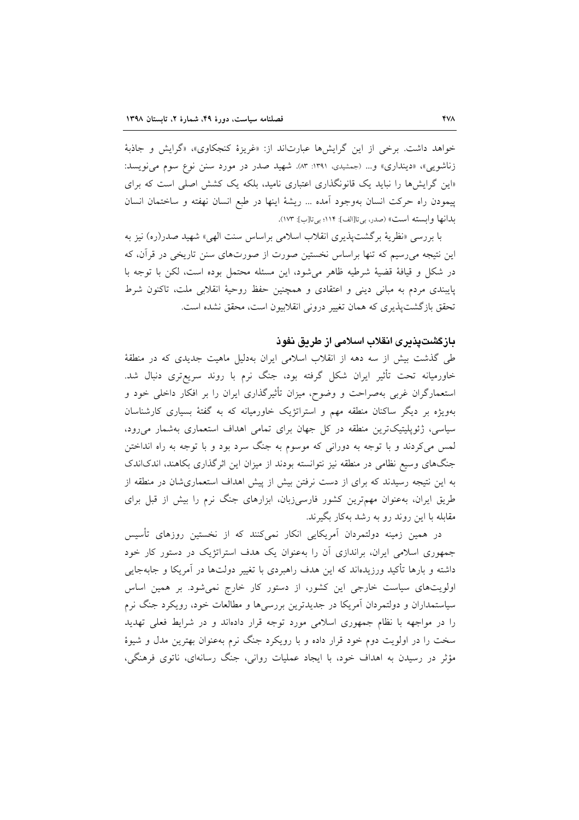خواهد داشت. برخی از این گرایشها عبارتاند از: «غریزهٔ کنجکاوی»، «گرایش و جاذبهٔ زناشویی»، «دینداری» و... (جمشیدی، ۱۳۹۱: ۸۳). شهید صدر در مورد سنن نوع سوم می نویسد: «این گرایشها را نباید یک قانونگذاری اعتباری نامید، بلکه یک کشش اصلی است که برای پیمودن راه حرکت انسان بهوجود آمده ... ریشهٔ اینها در طبع انسان نهفته و ساختمان انسان بدانها وابسته است» (صدر، بي تا[الف]: ١١۴؛ بي تا[ب]: ١٧٣).

با بررسی «نظریهٔ برگشت پذیری انقلاب اسلامی براساس سنت الهی» شهید صدر(ره) نیز به این نتیجه میرسیم که تنها براساس نخستین صورت از صورتهای سنن تاریخی در قرآن، که در شكل و قيافة قضية شرطيه ظاهر مى شود، اين مسئله محتمل بوده است، لكن با توجه با پایبندی مردم به مبانی دینی و اعتقادی و همچنین حفظ روحیهٔ انقلابی ملت، تاکنون شرط تحقق بازگشت پذیری که همان تغییر درونی انقلابیون است، محقق نشده است.

### بازگشتیذیری انقلاب اسلامی از طریق نفوذ

طی گذشت بیش از سه دهه از انقلاب اسلامی ایران بهدلیل ماهیت جدیدی که در منطقهٔ خاورمیانه تحت تأثیر ایران شکل گرفته بود، جنگ نرم با روند سریعتری دنبال شد. استعمارگران غربی بهصراحت و وضوح، میزان تأثیرگذاری ایران را بر افکار داخلی خود و بهویژه بر دیگر ساکنان منطقه مهم و استراتژیک خاورمیانه که به گفتهٔ بسیاری کارشناسان سیاسی، ژئوپلیتیکترین منطقه در کل جهان برای تمامی اهداف استعماری بهشمار میرود، لمس میکردند و با توجه به دورانی که موسوم به جنگ سرد بود و با توجه به راه انداختن جنگهای وسیع نظامی در منطقه نیز نتوانسته بودند از میزان این اثرگذاری بکاهند، اندکاندک به این نتیجه رسیدند که برای از دست نرفتن بیش از پیش اهداف استعماریشان در منطقه از طریق ایران، به عنوان مهمترین کشور فارسیزبان، ابزارهای جنگ نرم را بیش از قبل برای مقابله با این روند رو به رشد بهکار بگیرند.

در همین زمینه دولتمردان آمریکایی انکار نمیکنند که از نخستین روزهای تأسیس جمهوری اسلامی ایران، براندازی آن را بهعنوان یک هدف استراتژیک در دستور کار خود داشته و بارها تأکید ورزیدهاند که این هدف راهبردی با تغییر دولتها در آمریکا و جابهجایی اولویتهای سیاست خارجی این کشور، از دستور کار خارج نمیشود. بر همین اساس سیاستمداران و دولتمردان آمریکا در جدیدترین بررسی ها و مطالعات خود، رویکرد جنگ نرم را در مواجهه با نظام جمهوری اسلامی مورد توجه قرار دادهاند و در شرایط فعلی تهدید سخت را در اولویت دوم خود قرار داده و با رویکرد جنگ نرم بهعنوان بهترین مدل و شیوهٔ مؤثر در رسیدن به اهداف خود، با ایجاد عملیات روانی، جنگ رسانهای، ناتوی فرهنگی،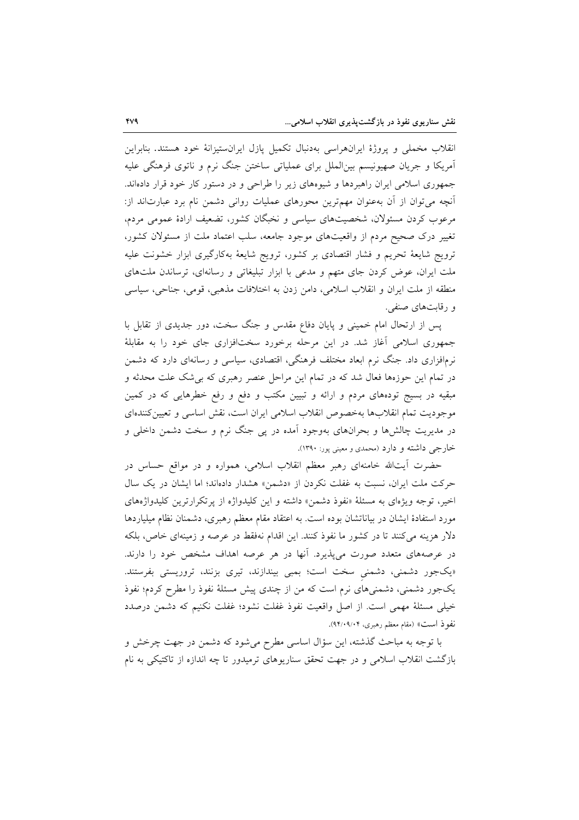انقلاب مخملی و پروژهٔ ایرانهراسی بهدنبال تکمیل پازل ایرانستیزانهٔ خود هستند. بنابراین اَمریکا و جریان صهیونیسم بینِالملل برای عملیاتی ساختن جنگ نرم و ناتوی فرهنگی علیه جمهوری اسلامی ایران راهبردها و شیوههای زیر را طراحی و در دستور کار خود قرار دادهاند. آنچه میتوان از آن بهعنوان مهمترین محورهای عملیات روانی دشمن نام برد عبارتاند از: مرعوب کردن مسئولان، شخصیتهای سیاسی و نخبگان کشور، تضعیف ارادهٔ عمومی مردم، تغییر درک صحیح مردم از واقعیتهای موجود جامعه، سلب اعتماد ملت از مسئولان کشور، ترویج شایعهٔ تحریم و فشار اقتصادی بر کشور، ترویج شایعهٔ بهکارگیری ابزار خشونت علیه ملت ایران، عوض کردن جای متهم و مدعی با ابزار تبلیغاتی و رسانهای، ترساندن ملتهای منطقه از ملت ايران و انقلاب اسلامي، دامن زدن به اختلافات مذهبي، قومي، جناحي، سياسي و رقابت های صنفی.

یس از ارتحال امام خمینی و پایان دفاع مقدس و جنگ سخت، دور جدیدی از تقابل با جمهوری اسلامی آغاز شد. در این مرحله برخورد سختافزاری جای خود را به مقابلهٔ نرمافزاری داد. جنگ نرم ابعاد مختلف فرهنگی، اقتصادی، سیاسی و رسانهای دارد که دشمن در تمام این حوزهها فعال شد که در تمام این مراحل عنصر رهبری که بی شک علت محدثه و مبقیه در بسیج تودههای مردم و ارائه و تبیین مکتب و دفع و رفع خطرهایی که در کمین موجوديت تمام انقلابها بهخصوص انقلاب اسلامي ايران است، نقش اساسي و تعيين كنندهاي در مدیریت چالشها و بحرانهای بهوجود آمده در پی جنگ نرم و سخت دشمن داخلی و خارجي داشته و دارد (محمدي و معيني پور: ۱۳۹۰).

حضرت أيتالله خامنهاي رهبر معظم انقلاب اسلامي، همواره و در مواقع حساس در حرکت ملت ایران، نسبت به غفلت نکردن از «دشمن» هشدار دادهاند؛ اما ایشان در یک سال اخیر، توجه ویژهای به مسئلهٔ «نفوذ دشمن» داشته و این کلیدواژه از پرتکرارترین کلیدواژههای مورد استفادهٔ ایشان در بیاناتشان بوده است. به اعتقاد مقام معظم رهبری، دشمنان نظام میلیاردها دلار هزینه میکنند تا در کشور ما نفوذ کنند. این اقدام نهفقط در عرصه و زمینهای خاص، بلکه در عرصههای متعدد صورت میپذیرد. آنها در هر عرصه اهداف مشخص خود را دارند. «یکجور دشمنی، دشمنی سخت است؛ بمبی بیندازند، تیری بزنند، تروریستی بفرستند. یکجور دشمنی، دشمنیهای نرم است که من از چندی پیش مسئلهٔ نفوذ را مطرح کردم؛ نفوذ خيلي مسئلة مهمى است. از اصل واقعيت نفوذ غفلت نشود؛ غفلت نكنيم كه دشمن درصدد نفوذ است» (مقام معظم رهبري، ۹۴/۰۹/۰۴).

با توجه به مباحث گذشته، این سؤال اساسی مطرح میشود که دشمن در جهت چرخش و بازگشت انقلاب اسلامی و در جهت تحقق سناریوهای ترمیدور تا چه اندازه از تاکتیکی به نام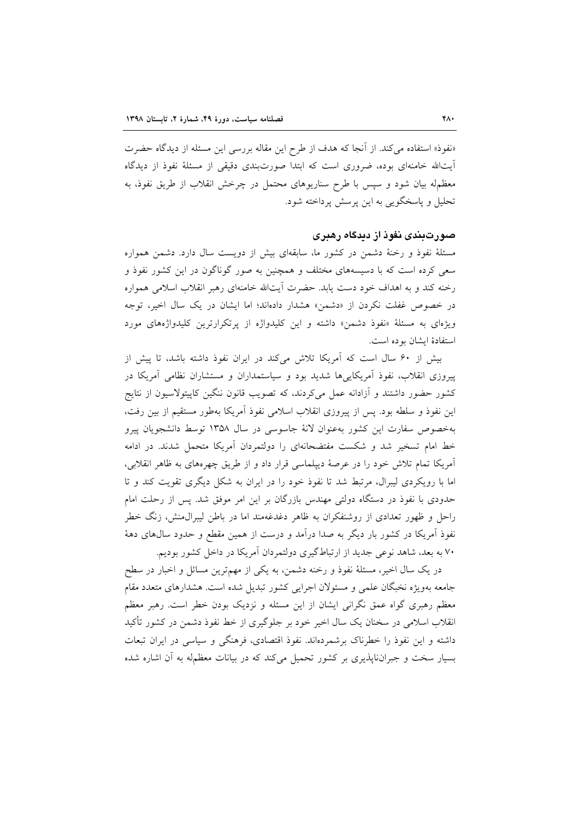«نفوذ» استفاده می کند. از آنجا که هدف از طرح این مقاله بررسی این مسئله از دیدگاه حضرت آیتالله خامنهای بوده، ضروری است که ابتدا صورتبندی دقیقی از مسئلهٔ نفوذ از دیدگاه معظمله بیان شود و سپس با طرح سناریوهای محتمل در چرخش انقلاب از طریق نفوذ، به تحليل و ياسخگويې به اين پرسش پرداخته شود.

### صورتبندی نفوذ از دیدگاه رهبری

مسئلهٔ نفوذ و رخنهٔ دشمن در کشور ما، سابقهای بیش از دویست سال دارد. دشمن همواره سعی کرده است که با دسیسههای مختلف و همچنین به صور گوناگون در این کشور نفوذ و رخنه کند و به اهداف خود دست یابد. حضرت أیتالله خامنهای رهبر انقلاب اسلامی همواره در خصوص غفلت نكردن از «دشمن» هشدار دادهاند؛ اما ایشان در یک سال اخیر، توجه ویژهای به مسئلهٔ «نفوذ دشمن» داشته و این کلیدواژه از پرتکرارترین کلیدواژههای مورد استفادهٔ ایشان بو ده است.

بیش از ۶۰ سال است که آمریکا تلاش میکند در ایران نفوذ داشته باشد، تا پیش از پیروزی انقلاب، نفوذ آمریکاییها شدید بود و سیاستمداران و مستشاران نظامی آمریکا در کشور حضور داشتند و آزادانه عمل میکردند، که تصویب قانون ننگین کاپیتولاسیون از نتایج این نفوذ و سلطه بود. پس از پیروزی انقلاب اسلامی نفوذ آمریکا بهطور مستقیم از بین رفت، بهخصوص سفارت این کشور بهعنوان لانهٔ جاسوسی در سال ۱۳۵۸ توسط دانشجویان پیرو خط امام تسخیر شد و شکست مفتضحانهای را دولتمردان آمریکا متحمل شدند. در ادامه آمریکا تمام تلاش خود را در عرصهٔ دیپلماسی قرار داد و از طریق چهرههای به ظاهر انقلابی، اما با رویکردی لیبرال، مرتبط شد تا نفوذ خود را در ایران به شکل دیگری تقویت کند و تا حدودی با نفوذ در دستگاه دولتی مهندس بازرگان بر این امر موفق شد. پس از رحلت امام راحل و ظهور تعدادی از روشنفکران به ظاهر دغدغهمند اما در باطن لیبرال،منش، زنگ خطر نفوذ اَمریکا در کشور بار دیگر به صدا دراَمد و درست از همین مقطع و حدود سالهای دههٔ ۷۰ به بعد، شاهد نوعی جدید از ارتباطگیری دولتمردان آمریکا در داخل کشور بودیم.

در یک سال اخیر، مسئلهٔ نفوذ و رخنه دشمن، به یکی از مهمترین مسائل و اخبار در سطح جامعه بهویژه نخبگان علمی و مسئولان اجرایی کشور تبدیل شده است. هشدارهای متعدد مقام معظم رهبری گواه عمق نگرانی ایشان از این مسئله و نزدیک بودن خطر است. رهبر معظم انقلاب اسلامی در سخنان یک سال اخیر خود بر جلوگیری از خط نفوذ دشمن در کشور تأکید داشته و این نفوذ را خطرناک برشمردهاند. نفوذ اقتصادی، فرهنگی و سیاسی در ایران تبعات بسیار سخت و جبرانناپذیری بر کشور تحمیل میکند که در بیانات معظمله به آن اشاره شده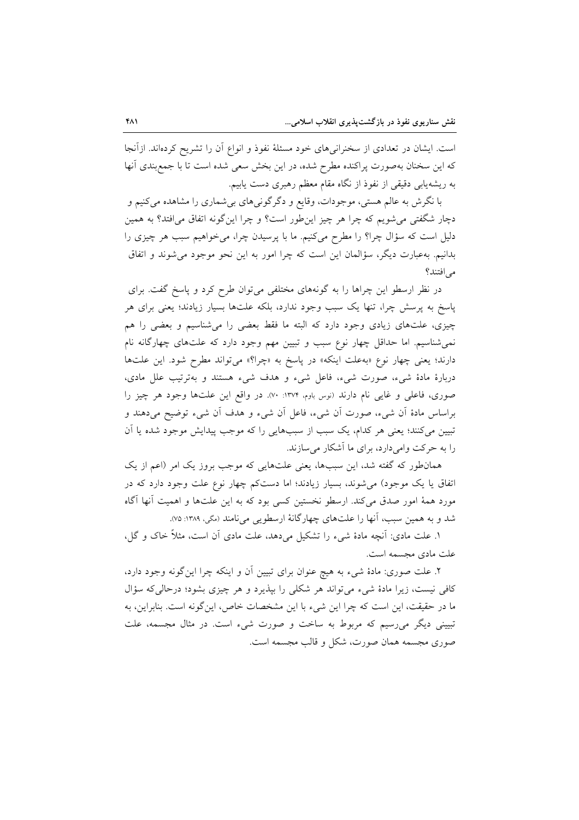است. ایشان در تعدادی از سخنرانیهای خود مسئلهٔ نفوذ و انواع آن را تشریح کردهاند. ازآنجا که این سخنان بهصورت پراکنده مطرح شده، در این بخش سعی شده است تا با جمع بندی آنها به ریشهیابی دقیقی از نفوذ از نگاه مقام معظم رهبری دست یابیم.

با نگرش به عالم هستی، موجودات، وقایع و دگرگونیهای بیشماری را مشاهده میکنیم و دچار شگفتی می شویم که چرا هر چیز این طور است؟ و چرا این گونه اتفاق می افتد؟ به همین دلیل است که سؤال چرا؟ را مطرح میکنیم. ما با پرسیدن چرا، میخواهیم سبب هر چیزی را بدانیم. بهعبارت دیگر، سؤالمان این است که چرا امور به این نحو موجود می شوند و اتفاق می افتند؟

در نظر ارسطو این چراها را به گونههای مختلفی میتوان طرح کرد و پاسخ گفت. برای پاسخ به پرسش چرا، تنها یک سبب وجود ندارد، بلکه علتها بسیار زیادند؛ یعنی برای هر چیزی، علتهای زیادی وجود دارد که البته ما فقط بعضی را می شناسیم و بعضی را هم نمیشناسیم. اما حداقل چهار نوع سبب و تبیین مهم وجود دارد که علتهای چهارگانه نام دارند؛ یعنی چهار نوع «به علت اینکه» در پاسخ به «چرا؟» میتواند مطرح شود. این علتها دربارهٔ مادهٔ شیء، صورت شیء، فاعل شیء و هدف شیء هستند و بهترتیب علل مادی، صوری، فاعلی و غایی نام دارند (نوس باوم، ۱۳۷۴: ۷۰). در واقع این علتها وجود هر چیز را براساس مادهٔ أن شیء، صورت أن شیء، فاعل أن شیء و هدف أن شیء توضیح میدهند و تبیین میکنند؛ یعنی هر کدام، یک سبب از سببهایی را که موجب پیدایش موجود شده یا اَن را به حرکت وامیدارد، برای ما آشکار می سازند.

همانطور که گفته شد، این سببها، یعنی علتهایی که موجب بروز یک امر (اعم از یک اتفاق یا یک موجود) میشوند، بسیار زیادند؛ اما دستکم چهار نوع علت وجود دارد که در مورد همهٔ امور صدق میکند. ارسطو نخستین کسی بود که به این علتها و اهمیت آنها آگاه شد و به همین سبب، آنها را علتهای چهارگانهٔ ارسطویی می نامند (مگی، ۱۳۸۹: ۷۵).

۱. علت مادی: أنچه مادهٔ شیء را تشکیل میدهد، علت مادی أن است، مثلاً خاک و گل، علت مادي مجسمه است.

۲. علت صوری: مادهٔ شیء به هیچ عنوان برای تبیین آن و اینکه چرا اینگونه وجود دارد، کافی نیست، زیرا مادهٔ شیء میتواند هر شکلی را بپذیرد و هر چیزی بشود؛ درحالی که سؤال ما در حقیقت، این است که چرا این شیء با این مشخصات خاص، اینگونه است. بنابراین، به تبیینی دیگر می رسیم که مربوط به ساخت و صورت شیء است. در مثال مجسمه، علت صوری مجسمه همان صورت، شکل و قالب مجسمه است.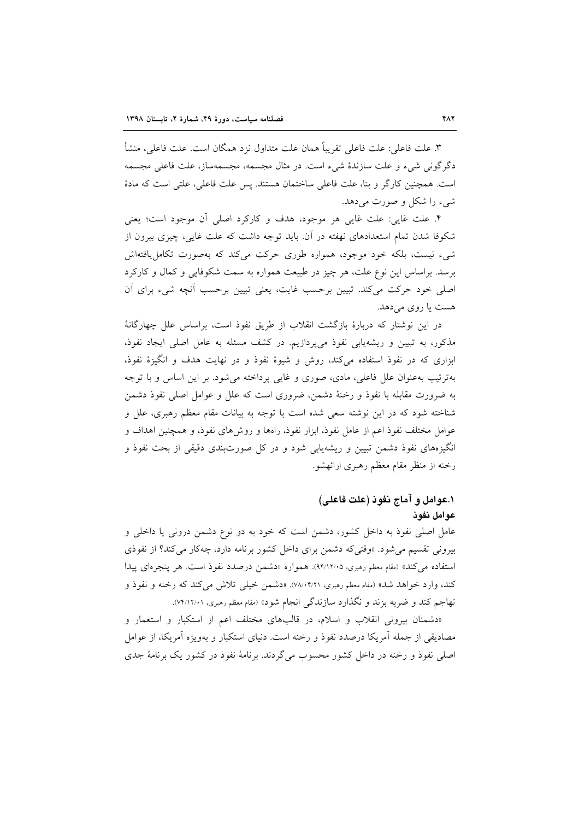٣. علت فاعلى: علت فاعلى تقريباً همان علت متداول نزد همگان است. علت فاعلى، منشأ دگر گونی شیء و علت سازندهٔ شیء است. در مثال مجسمه، مجسمهساز، علت فاعلی مجسمه است. همچنین کارگر و بنا، علت فاعلی ساختمان هستند. پس علت فاعلی، علتی است که مادهٔ شيء را شكل و صورت مي دهد.

۴. علت غايي: علت غايي هر موجود، هدف و كاركرد اصلي أن موجود است؛ يعني شکوفا شدن تمام استعدادهای نهفته در آن. باید توجه داشت که علت غایی، چیزی بیرون از شیء نیست، بلکه خود موجود، همواره طوری حرکت میکند که بهصورت تکامل یافتهاش برسد. براساس این نوع علت، هر چیز در طبیعت همواره به سمت شکوفایی و کمال و کارکرد اصلی خود حرکت میکند. تبیین برحسب غایت، یعنی تبیین برحسب اَنچه شیء برای اَن هست یا روی می دهد.

در این نوشتار که دربارهٔ بازگشت انقلاب از طریق نفوذ است، براساس علل چهارگانهٔ مذکور، به تبیین و ریشهیابی نفوذ میپردازیم. در کشف مسئله به عامل اصلی ایجاد نفوذ، ابزاری که در نفوذ استفاده میکند، روش و شیوهٔ نفوذ و در نهایت هدف و انگیزهٔ نفوذ، بهترتیب بهعنوان علل فاعلی، مادی، صوری و غایبی پرداخته می شود. بر این اساس و با توجه به ضرورت مقابله با نفوذ و رخنهٔ دشمن، ضروری است که علل و عوامل اصلی نفوذ دشمن شناخته شود که در این نوشته سعی شده است با توجه به بیانات مقام معظم رهبری، علل و عوامل مختلف نفوذ اعم از عامل نفوذ، ابزار نفوذ، راهها و روش۵ای نفوذ، و همچنین اهداف و انگیزههای نفوذ دشمن تبیین و ریشهپایی شود و در کل صورتبندی دقیقی از بحث نفوذ و رخنه از منظر مقام معظم رهبري ارائهشو.

# ١.عوامل و آماج نفوذ (علت فاعلى) عوامل نفوذ

عامل اصلی نفوذ به داخل کشور، دشمن است که خود به دو نوع دشمن درونی یا داخلی و بیرونی تقسیم میشود. «وقتیکه دشمن برای داخل کشور برنامه دارد، چهکار میکند؟ از نفوذی استفاده می کند» (مقام معظم رهبری، ۹۴/۱۲/۰۵). همواره «دشمن درصدد نفوذ است. هر پنجرهای پیدا كند، وارد خواهد شد» (مقام معظم رهبري، ٧٨/٠۴/٢١). «دشمن خيلي تلاش مي كند كه رخنه و نفوذ و تهاجم کند و ضربه بزند و نگذارد سازندگی انجام شود» (مقام معظم رهبری، ۷۴/۱۲/۰۱).

«دشمنان بیرونی انقلاب و اسلام، در قالبهای مختلف اعم از استکبار و استعمار و مصادیقی از جمله آمریکا درصدد نفوذ و رخنه است. دنیای استکبار و بهویژه آمریکا، از عوامل اصلی نفوذ و رخنه در داخل کشور محسوب میگردند. برنامهٔ نفوذ در کشور یک برنامهٔ جدی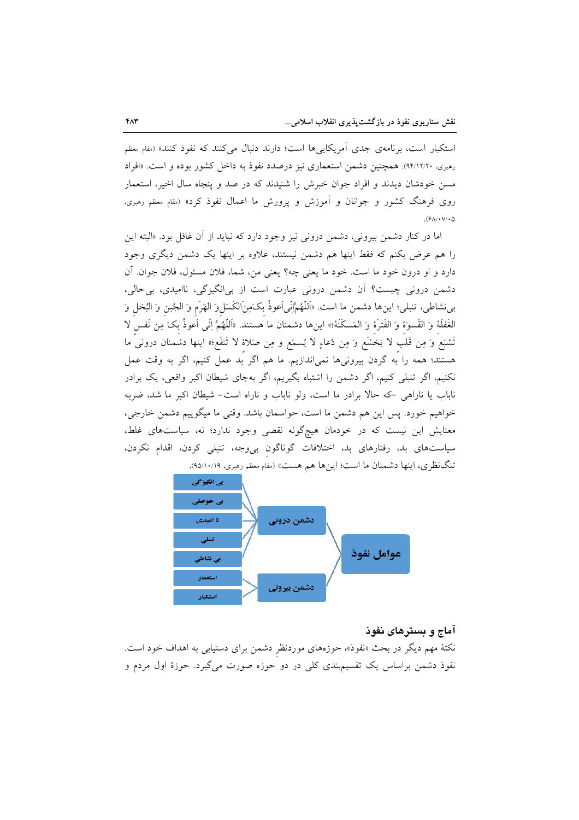استکبار است، برنامهی جدی آمریکایی ها است؛ دارند دنبال می کنند که نفوذ کنند» (مقام معظم رهبري، ٩۴/١٢/٢٠). همچنين دشمن استعماري نيز درصدد نفوذ به داخل كشور بوده و است. «افراد مسن خودشان دیدند و افراد جوان خبرش را شنیدند که در صد و پنجاه سال اخیر، استعمار روی فرهنگ کشور و جوانان و آموزش و پرورش ما اعمال نفوذ کرد» (مقام معظم رهبری،  $(9\lambda/\cdot V/\cdot 0)$ 

اما در کنار دشمن بیرونی، دشمن درونی نیز وجود دارد که نباید از آن غافل بود. «البته این را هم عرض بکنم که فقط اینها هم دشمن نیستند، علاوه بر اینها یک دشمن دیگری وجود دارد و او درون خود ما است. خود ما يعني چه؟ يعني من، شما، فلان مسئول، فلان جوان. آن دشمن درونی چیست؟ اَن دشمن درونی عبارت است از بی|نگیزگی، ناامیدی، بی حالی، بي نشاطي، تنبلي؛ اينها دشمن ما است. «اَللَّهُمَّإنِّي اَعوذُ بِكَمِنِالكَسَلِوَ الهَرَم وَ الجُبنِ وَ البُخل وَ الغَفلَهُ وَ القَسوءَ وَ الفَترةَ وَ المَسكَنَةُ؛» اينها دشمنان ما هستند. «اَللَّهُمَّ إنِّي اَعوذُ بكَ مِن نَفس لا تَشْبَعُ وَ مِن قَلب لا يَخشَعُ وَ مِن دُعَاءِ لا يُسمَعُ و مِن صَلاةً لا تَنفَعُ؛» اينها دشمنان دروني ما هستند؛ همه را به گردن بیرونیها نمیاندازیم. ما هم اگر بد عمل کنیم، اگر به وقت عمل نکنیم، اگر تنبلی کنیم، اگر دشمن را اشتباه بگیریم، اگر بهجای شیطان اکبر واقعی، یک برادر ناباب یا ناراهی -که حالا برادر ما است، ولو ناباب و ناراه است- شیطان اکبر ما شد، ضربه خواهيم خورد. پس اين هم دشمن ما است، حواسمان باشد. وقتي ما ميگوييم دشمن خارجي، معنایش این نیست که در خودمان هیچگونه نقصی وجود ندارد؛ نه، سیاستهای غلط، سیاستهای بد، رفتارهای بد، اختلافات گوناگون بی وجه، تنبلی کردن، اقدام نکردن، تنگ نظری، اینها دشمنان ما است؛ اینها هم هست» (مقام معظم رهبری، ۹۵/۱۰/۱۹).



### آماج و بسترهای نفوذ

نکتهٔ مهم دیگر در بحث «نفوذ»، حوزههای موردنظر دشمن برای دستیاب<sub>ی</sub> به اهداف خود است. نفوذ دشمن براساس یک تقسیمبندی کلی در دو حوزه صورت میگیرد. حوزهٔ اول مردم و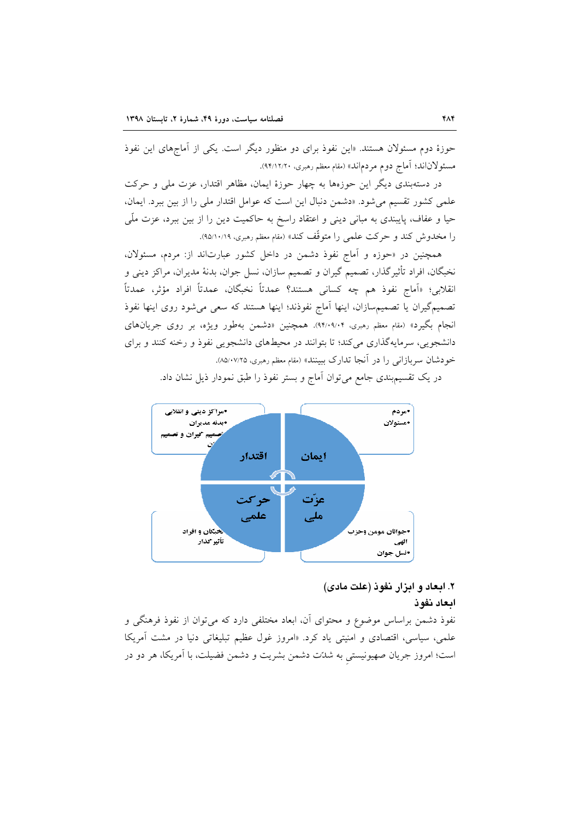حوزهٔ دوم مسئولان هستند. «این نفوذ برای دو منظور دیگر است. یکی از آماجهای این نفوذ مسئولاناند؛ آماج دوم مردماند» (مقام معظم رهبري، ٩۴/١٢/٢٠).

در دستهبندی دیگر این حوزهها به چهار حوزهٔ ایمان، مظاهرِ اقتدار، عزت ملی و حرکت علمی کشور تقسیم میشود. «دشمن دنبال این است که عوامل اقتدار ملی را از بین ببرد. ایمان، حیا و عفاف، پایبندی به مبانی دینی و اعتقاد راسخ به حاکمیت دین را از بین ببرد، عزت ملّی را مخدوش کند و حرکت علمی را متوقّف کند» (مقام معظم رهبری، ۹۵/۱۰/۱۹).

همچنین در «حوزه و آماج نفوذ دشمن در داخل کشور عبارتاند از: مردم، مسئولان، نخبگان، افراد تأثیرگذار، تصمیم گیران و تصمیم سازان، نسل جوان، بدنهٔ مدیران، مراکز دینی و انقلابي؛ «اَماج نفوذ هم چه كساني هستند؟ عمدتاً نخبگان، عمدتاً افراد مؤثر، عمدتاً تصمیمگیران یا تصمیمسازان، اینها آماج نفوذند؛ اینها هستند که سعی می شود روی اینها نفوذ انجام بگیرد» (مقام معظم رهبری، ۹۴/۰۹/۰۴). همچنین «دشمن بهطور ویژه، بر روی جریانهای دانشجویی، سرمایهگذاری میکند؛ تا بتوانند در محیطهای دانشجویی نفوذ و رخنه کنند و برای خودشان سربازانی را در آنجا تدارک ببینند» (مقام معظم رهبری، ۸۵/۰۷/۲۵).



در یک تقسیم بندی جامع می توان آماج و بستر نفوذ را طبق نمودار ذیل نشان داد.

# ۲. ابعاد و ابزار نفوذ (علت مادی) ابعاد نفوذ

نفوذ دشمن براساس موضوع و محتواى آن، ابعاد مختلفى دارد كه مىتوان از نفوذ فرهنگى و علمی، سیاسی، اقتصادی و امنیتی یاد کرد. «امروز غول عظیم تبلیغاتی دنیا در مشت آمریکا است؛ امروز جریان صهیونیستی به شدّت دشمن بشریت و دشمن فضیلت، با آمریکا، هر دو در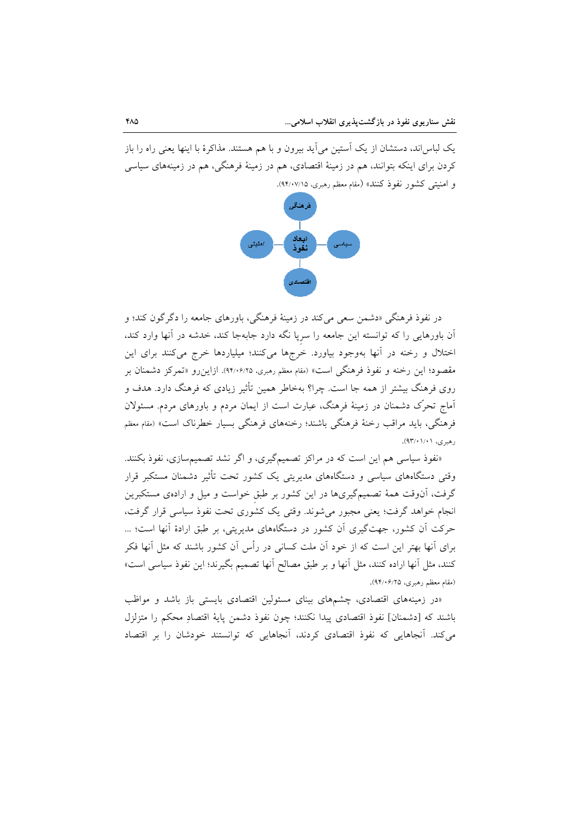یک لباس اند، دستشان از یک اَستین می اَید بیرون و با هم هستند. مذاکرهٔ با اینها یعنی راه را باز کردن برای اینکه بتوانند، هم در زمینهٔ اقتصادی، هم در زمینهٔ فرهنگی، هم در زمینههای سیاسی و امنیتی کشور نفوذ کنند» (مقام معظم رهبری، ۹۴/۰۷/۱۵).



در نفوذ فرهنگي «دشمن سعي ميکند در زمينهٔ فرهنگي، باورهاي جامعه را دگر گون کند؛ و آن باورهایی را که توانسته این جامعه را سریا نگه دارد جابهجا کند، خدشه در آنها وارد کند. اختلال و رخنه در آنها بهوجود بیاورد. خرجها میکنند؛ میلیاردها خرج میکنند برای این مقصود؛ این رخنه و نفوذ فرهنگی است» (مقام معظم رهبری، ۹۴/۰۶/۲۵). ازاین٫رو «تمرکز دشمنان بر روی فرهنگ بیشتر از همه جا است. چرا؟ بهخاطر همین تأثیر زیادی که فرهنگ دارد. هدف و آماج تحرِّک دشمنان در زمینهٔ فرهنگ، عبارت است از ایمان مردم و باورهای مردم. مسئولان فرهنگی، باید مراقب رخنهٔ فرهنگی باشند؛ رخنههای فرهنگی بسیار خطرناک است» (مقام معظم رهبري، ۰۱/۰۱/۰۱).

«نفوذ سیاسی هم این است که در مراکز تصمیمگیری، و اگر نشد تصمیمسازی، نفوذ بکنند. وقتی دستگاههای سیاسی و دستگاههای مدیریتی یک کشور تحت تأثیر دشمنان مستکبر قرار گرفت، آنوقت همهٔ تصمیمگیریها در این کشور بر طبق خواست و میل و ارادهی مستکبرین انجام خواهد گرفت؛ یعنی مجبور می شوند. وقتی یک کشوری تحت نفوذ سیاسی قرار گرفت، حرکت اَن کشور، جهتگیری اَن کشور در دستگاههای مدیریتی، بر طبق ارادهٔ اَنها است؛ … برای آنها بهتر این است که از خود آن ملت کسانی در رأس آن کشور باشند که مثل آنها فکر كنند، مثل أنها اراده كنند، مثل أنها و بر طبق مصالح أنها تصميم بگيرند؛ اين نفوذ سياسي است» (مقام معظم رهبري، ۹۴/۰۶/۲۵).

«در زمینههای اقتصادی، چشمهای بینای مسئولین اقتصادی بایستی باز باشد و مواظب باشند كه [دشمنان] نفوذ اقتصادى پيدا نكنند؛ چون نفوذ دشمن پايهٔ اقتصادِ محكم را متزلزل می کند. آنجاهایی که نفوذ اقتصادی کردند، آنجاهایی که توانستند خودشان را بر اقتصاد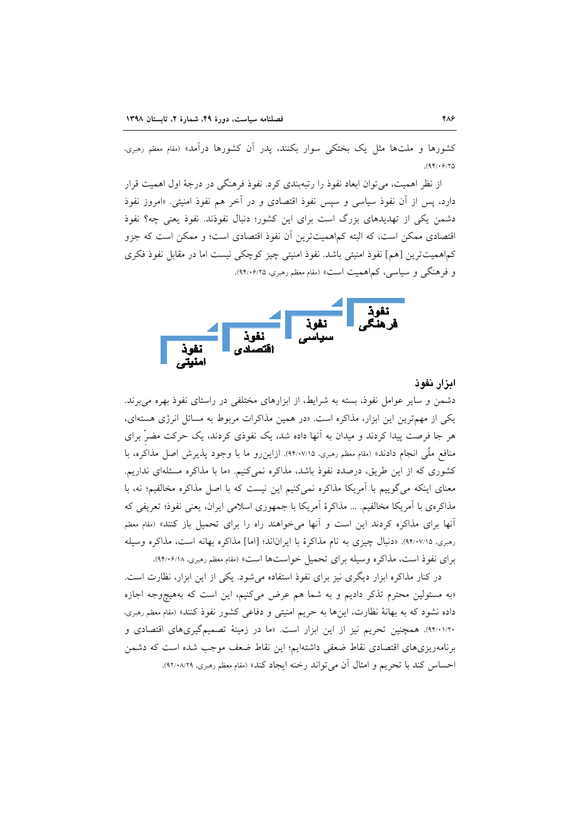کشورها و ملتها مثل یک بختکی سوار بکنند، پدر آن کشورها درآمد» (مقام معظم رهبری،  $(95/9/70)$ 

از نظر اهمیت، می توان ابعاد نفوذ را رتبهبندی کرد. نفوذ فرهنگی در درجهٔ اول اهمیت قرار دارد، پس از آن نفوذ سیاسی و سیس نفوذ اقتصادی و در آخر هم نفوذ امنیتی. «امروز نفوذ دشمن یکی از تهدیدهای بزرگ است برای این کشور؛ دنبال نفوذند. نفوذ یعنی چه؟ نفوذ اقتصادی ممکن است، که البته کماهمیتترین آن نفوذ اقتصادی است؛ و ممکن است که جزو كماهميتترين [هم] نفوذ امنيتي باشد. نفوذ امنيتي چيز كوچكي نيست اما در مقابل نفوذ فكرى و فرهنگی و سیاسی، کماهمیت است» (مقام معظم رهبری، ۹۴/۰۶/۲۵).



ابزار نفوذ

دشمن و سایر عوامل نفوذ، بسته به شرایط، از ابزارهای مختلفی در راستای نفوذ بهره می برند. یکی از مهمترین این ابزار، مذاکره است. «در همین مذاکرات مربوط به مسائل انرژی هستهای، هر جا فرصت پیدا کردند و میدان به آنها داده شد، یک نفوذی کردند، یک حرکت مضرّ برای منافع ملَّى انجام دادند» (مقام معظم رهبري، ٩٢/٠٧/١۵). ازاين رو ما با وجود يذيرش اصل مذاكره، با کشوری که از این طریق، درصدد نفوذ باشد، مذاکره نمی کنیم. «ما با مذاکره مسئلهای نداریم. معنای اینکه میگوییم با آمریکا مذاکره نمیکنیم این نیست که با اصل مذاکره مخالفیم؛ نه، با مذاکرهی با آمریکا مخالفیم. … مذاکرهٔ آمریکا با جمهوری اسلامی ایران، یعنی نفوذ؛ تعریفی که آنها برای مذاکره کردند این است و آنها میخواهند راه را برای تحمیل باز کنند» (مقام معظم رهبري، ٩٢/٠٧/١۵. «دنبال چيزي به نام مذاكرة با ايراناند؛ [اما] مذاكره بهانه است، مذاكره وسيله برای نفوذ است، مذاکره وسیله برای تحمیل خواستها است» (مقام معظم رهبری، ۹۴/۰۶/۱۸).

در کنار مذاکره ابزار دیگری نیز برای نفوذ استفاده میشود. یکی از این ابزار، نظارت است. «به مسئولین محترم تذکر دادیم و به شما هم عرض می کنیم، این است که بههیچوجه اجازه داده نشود که به بهانهٔ نظارت، اینها به حریم امنیتی و دفاعی کشور نفوذ کنند» (مقام معظم رهبری، ۹۴/۰۱/۲۰). همچنین تحریم نیز از این ابزار است. «ما در زمینهٔ تصمیمگیریهای اقتصادی و برنامهریزیهای اقتصادی نقاط ضعفی داشتهایم؛ این نقاط ضعف موجب شده است که دشمن احساس كند با تحريم و امثال أن مي تواند رخنه ايجاد كند» (مقام معظم رهبري، ٩٢/٠٨/٢٩).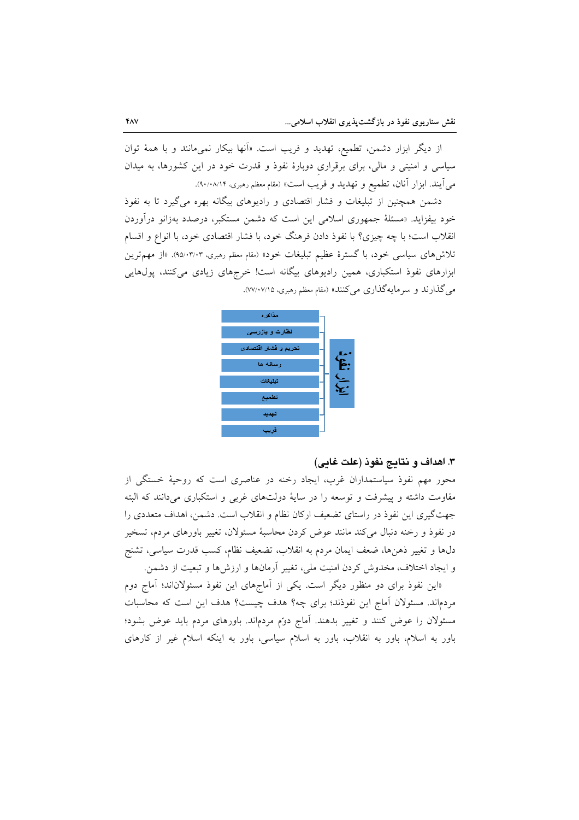از دیگر ابزار دشمن، تطمیع، تهدید و فریب است. «اَنها بیکار نمیمانند و با همهٔ توان سیاسی و امنیتی و مالی، برای برقراری دوبارهٔ نفوذ و قدرت خود در این کشورها، به میدان می آیند. ابزار آنان، تطمیع و تهدید و فریب است» (مقام معظم رهبری، ۰۸/۱۴).

دشمن همچنین از تبلیغات و فشار اقتصادی و رادیوهای بیگانه بهره می گیرد تا به نفوذ خود بیفزاید. «مسئلهٔ جمهوری اسلامی این است که دشمن مستکبر، درصدد بهزانو درآوردن انقلاب است؛ با چه چیزی؟ با نفوذ دادن فرهنگ خود، با فشار اقتصادی خود، با انواع و اقسام تلاش۵ای سیاسی خود، با گسترهٔ عظیم تبلیغات خود» (مقام معظم رهبری، ۹۵/۰۳/۰۳). «از مهمترین ابزارهای نفوذ استکباری، همین رادیوهای بیگانه است! خرجهای زیادی میکنند، پولهایی مي گذارند و سرمايهگذاري مي كنند» (مقام معظم رهبري، ٧٧/٠٧/١٥).



### ۳. اهداف و نتايج نفوذ (علت غايي)

محور مهم نفوذ سیاستمداران غرب، ایجاد رخنه در عناصری است که روحیهٔ خستگی از مقاومت داشته و پیشرفت و توسعه را در سایهٔ دولتهای غربی و استکباری می دانند که البته جهت گیری این نفوذ در راستای تضعیف ارکان نظام و انقلاب است. دشمن، اهداف متعددی را در نفوذ و رخنه دنبال می کند مانند عوض کردن محاسبهٔ مسئولان، تغییر باورهای مردم، تسخیر دلها و تغییر ذهنها، ضعف ایمان مردم به انقلاب، تضعیف نظام، کسب قدرت سیاسی، تشنج و ایجاد اختلاف، مخدوش کردن امنیت ملی، تغییر آرمانها و ارزشها و تبعیت از دشمن.

«این نفوذ برای دو منظور دیگر است. یکی از آماجهای این نفوذ مسئولاناند؛ آماج دوم مردماند. مسئولان آماج این نفوذند؛ برای چه؟ هدف چیست؟ هدف این است که محاسبات مسئولان را عوض کنند و تغییر بدهند. آماج دوّم مردماند. باورهای مردم باید عوض بشود؛ باور به اسلام، باور به انقلاب، باور به اسلام سیاسی، باور به اینکه اسلام غیر از کارهای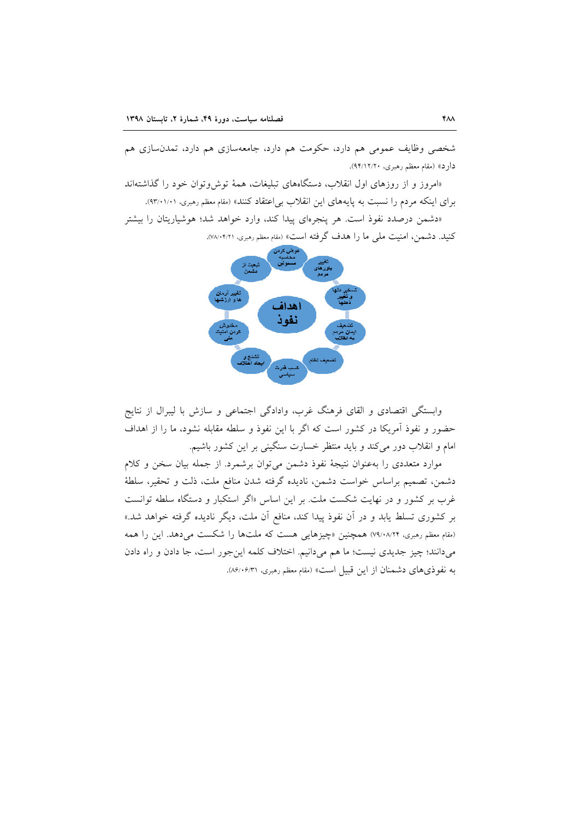شخصی وظایف عمومی هم دارد، حکومت هم دارد، جامعهسازی هم دارد، تمدن سازی هم دارد» (مقام معظم رهبري، ۹۴/۱۲/۲۰).

«امروز و از روزهای اول انقلاب، دستگاههای تبلیغات، همهٔ توش وتوان خود را گذاشتهاند برای اینکه مردم را نسبت به پایههای این انقلاب بی|عتقاد کنند» (مقام معظم رهبری، ۹۳/۰۱/۰۱).

«دشمن درصدد نفوذ است. هر پنجرهای پیدا کند، وارد خواهد شد؛ هوشیاریتان را بیشتر كنيد. دشمن، امنيت ملي ما را هدف گرفته است» (مقام معظم رهبري، ٠٢/١٠/٢/١١).



وابستگی اقتصادی و القای فرهنگ غرب، وادادگی اجتماعی و سازش با لیبرال از نتایج حضور و نفوذ آمریکا در کشور است که اگر با این نفوذ و سلطه مقابله نشود، ما را از اهداف امام و انقلاب دور می کند و باید منتظر خسارت سنگینی بر این کشور باشیم.

موارد متعددی را بهعنوان نتیجهٔ نفوذ دشمن میتوان برشمرد. از جمله بیان سخن و کلام دشمن، تصميم براساس خواست دشمن، ناديده گرفته شدن منافع ملت، ذلت و تحقير، سلطهٔ غرب بر کشور و در نهایت شکست ملت. بر این اساس «اگر استکبار و دستگاه سلطه توانست بر کشوری تسلط یابد و در آن نفوذ پیدا کند، منافع آن ملت، دیگر نادیده گرفته خواهد شد.» (مقام معظم رهبری، ۷۹/۰۸/۲۴) همچنین «چیزهایی هست که ملتها را شکست میدهد. این را همه میدانند؛ چیز جدیدی نیست؛ ما هم میدانیم. اختلاف کلمه اینجور است، جا دادن و راه دادن به نفوذيهاي دشمنان از اين قبيل است» (مقام معظم رهبري، ٨۶/٠۶/٣١).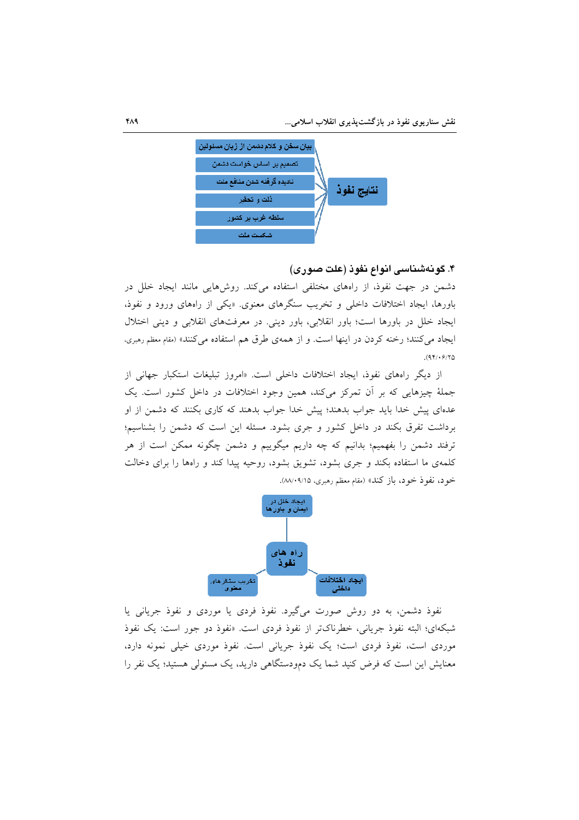

۴. گونهشناسی انواع نفوذ (علت صوری)

دشمن در جهت نفوذ، از راههای مختلفی استفاده میکند. روشهایی مانند ایجاد خلل در باورها، ایجاد اختلافات داخلی و تخریب سنگرهای معنوی. «یکی از رامهای ورود و نفوذ، ایجاد خلل در باورها است؛ باور انقلابی، باور دینی. در معرفتهای انقلابی و دینی اختلال ایجاد می کنند؛ رخنه کردن در اینها است. و از همهی طرق هم استفاده می کنند» (مقام معظم رهبری،  $(94) \cdot 9/10$ 

از دیگر راههای نفوذ، ایجاد اختلافات داخل<sub>ی</sub> است. «امروز تبلیغات استکبار جهانی از جملهٔ چیزهایی که بر آن تمرکز میکند، همین وجود اختلافات در داخل کشور است. یک عدهای پیش خدا باید جواب بدهند؛ پیش خدا جواب بدهند که کاری بکنند که دشمن از او برداشت تفرق بکند در داخل کشور و جری بشود. مسئله این است که دشمن را بشناسیم؛ ترفند دشمن را بفهمیم؛ بدانیم که چه داریم میگوییم و دشمن چگونه ممکن است از هر کلمهی ما استفاده بکند و جری بشود، تشویق بشود، روحیه پیدا کند و راهها را برای دخالت خود، نفوذ خود، باز كند» (مقام معظم رهبري، ٨٨/٠٩/١۵).



نفوذ دشمن، به دو روش صورت میگیرد. نفوذ فردی یا موردی و نفوذ جریانی یا شبکهای؛ البته نفوذ جریانی، خطرناکتر از نفوذ فردی است. «نفوذ دو جور است: یک نفوذ موردی است، نفوذ فردی است؛ یک نفوذ جریانی است. نفوذ موردی خیلی نمونه دارد، معنایش این است که فرض کنید شما یک دمودستگاهی دارید، یک مسئولی هستید؛ یک نفر را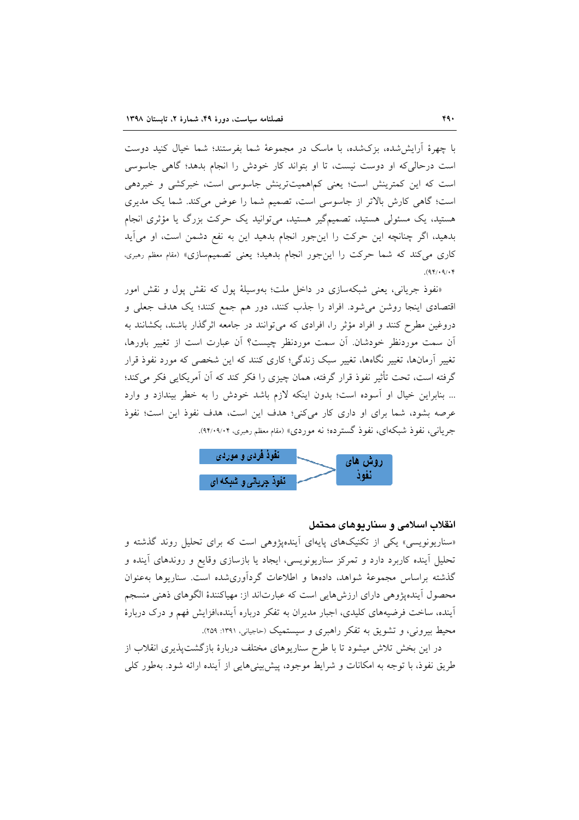با چهرهٔ اَرایش شده، بزکشده، با ماسک در مجموعهٔ شما بفرستند؛ شما خیال کنید دوست است در حالی که او دوست نیست، تا او بتواند کار خودش را انجام بدهد؛ گاهی جاسوسی است که این کمترینش است؛ یعنی کماهمیتترینش جاسوسی است، خبرکشی و خبردهی است؛ گاهی کارش بالاتر از جاسوسی است، تصمیم شما را عوض میکند. شما یک مدیری هستید، یک مسئولی هستید، تصمیمگیر هستید، می توانید یک حرکت بزرگ یا مؤثری انجام بدهید، اگر چنانچه این حرکت را اینجور انجام بدهید این به نفع دشمن است، او می آید کاری می کند که شما حرکت را این جور انجام بدهید؛ یعنی تصمیمسازی» (مقام معظم رهبری،  $(94) \cdot 9/8$ 

«نفوذ جریانی، یعنی شبکهسازی در داخل ملت؛ بهوسیلهٔ پول که نقش پول و نقش امور اقتصادی اینجا روشن می شود. افراد را جذب کنند، دور هم جمع کنند؛ یک هدف جعلی و دروغین مطرح کنند و افراد مؤثر را، افرادی که می توانند در جامعه اثرگذار باشند، بکشانند به اّن سمت موردنظر خودشان. اّن سمت موردنظر چیست؟ اّن عبارت است از تغییر باورها، تغییر آرمانها، تغییر نگاهها، تغییر سبک زندگی؛ کاری کنند که این شخصی که مورد نفوذ قرار گرفته است، تحت تأثیر نفوذ قرار گرفته، همان چیزی را فکر کند که آن آمریکایی فکر می کند؛ ... بنابراين خيال او آسوده است؛ بدون اينكه لازم باشد خودش را به خطر بيندازد و وارد عرصه بشود، شما برای او داری کار میکنی؛ هدف این است، هدف نفوذ این است؛ نفوذ جریانبی، نفوذ شبکهای، نفوذ گسترده؛ نه موردی» (مقام معظم رهبری، ۹۰۲٬۰۹/۰۴).



### انقلاب اسلامی و سناریوهای محتمل

«سناریونویسی» یکی از تکنیکهای پایهای آیندهپژوهی است که برای تحلیل روند گذشته و تحلیل اَینده کاربرد دارد و تمرکز سناریونویسی، ایجاد یا بازسازی وقایع و روندهای اَینده و گذشته براساس مجموعهٔ شواهد، دادهها و اطلاعات گردآوریشده است. سناریوها بهعنوان محصول آیندهپژوهی دارای ارزشهایی است که عبارتاند از: مهیاکنندهٔ الگوهای ذهنی منسجم آینده، ساخت فرضیههای کلیدی، اجبار مدیران به تفکر درباره آینده،افزایش فهم و درک دربارهٔ محیط بیرونی، و تشویق به تفکر راهبری و سیستمیک (حاجیانی، ۱۳۹۱: ۲۵۹).

در این بخش تلاش میشود تا با طرح سناریوهای مختلف دربارهٔ بازگشتپذیری انقلاب از طريق نفوذ، با توجه به امكانات و شرايط موجود، پيش بيني هايي از آينده ارائه شود. بهطور كلي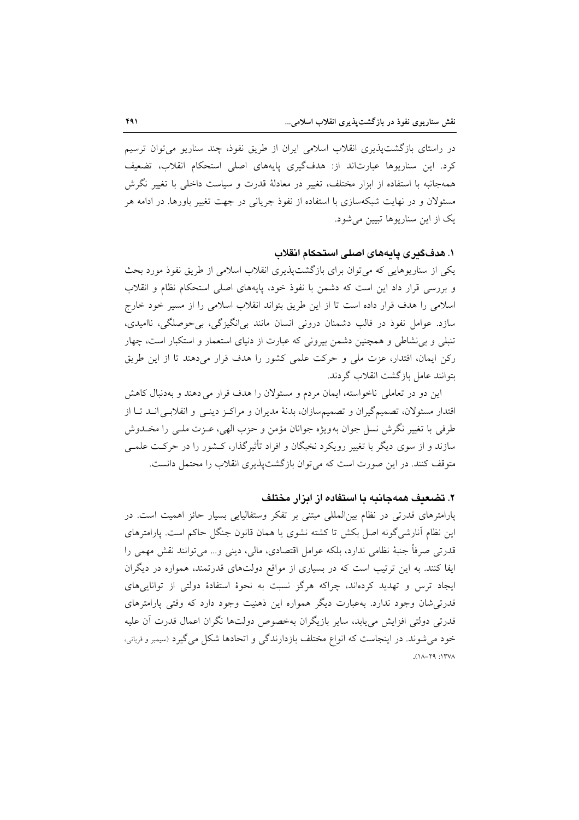در راستای بازگشتپذیری انقلاب اسلامی ایران از طریق نفوذ، چند سناریو میتوان ترسیم کرد. این سناریوها عبارتاند از: هدفگیری پایههای اصلی استحکام انقلاب، تضعیف همهجانبه با استفاده از ابزار مختلف، تغییر در معادلهٔ قدرت و سیاست داخلی با تغییر نگرش مسئولان و در نهایت شبکهسازی با استفاده از نفوذ جریانی در جهت تغییر باورها. در ادامه هر یک از این سناریوها تبیین می شود.

١. هدفگيري يايههاي اصلي استحكام انقلاب

یکی از سناریوهایی که میتوان برای بازگشتپذیری انقلاب اسلامی از طریق نفوذ مورد بحث و بررسی قرار داد این است که دشمن با نفوذ خود، پایههای اصلی استحکام نظام و انقلاب اسلامی را هدف قرار داده است تا از این طریق بتواند انقلاب اسلامی را از مسیر خود خارج سازد. عوامل نفوذ در قالب دشمنان درونی انسان مانند بی انگیزگی، بی حوصلگی، ناامیدی، تنبلی و بی نشاطی و همچنین دشمن بیرونی که عبارت از دنیای استعمار و استکبار است، چهار رکن ایمان، اقتدار، عزت ملی و حرکت علمی کشور را هدف قرار میدهند تا از این طریق بتوانند عامل بازگشت انقلاب گردند.

این دو در تعاملی ناخواسته، ایمان مردم و مسئولان را هدف قرار می دهند و بهدنبال کاهش اقتدار مسئولان، تصمیمگیران و تصمیمسازان، بدنهٔ مدیران و مراکـز دینـی و انقلابـی انـد تـا از طرفي با تغيير نگرش نسل جوان بهويژه جوانان مؤمن و حزب الهي، عـزت ملـي را مخــدوش سازند و از سوی دیگر با تغییر رویکرد نخبگان و افراد تأثیرگذار، کـشور را در حرکـت علمــی متوقف کنند. در این صورت است که می توان بازگشت پذیری انقلاب را محتمل دانست.

### ۲. تضعیف همهجانیه یا استفاده از ایزار مختلف

پارامترهای قدرتی در نظام بین المللی مبتنی بر تفکر وستفالیایی بسیار حائز اهمیت است. در این نظام اَنارشیگونه اصل بکش تا کشته نشوی یا همان قانون جنگل حاکم است. پارامترهای قدرتی صرفاً جنبهٔ نظامی ندارد، بلکه عوامل اقتصادی، مالی، دینی و… میتوانند نقش مهمی را ایفا کنند. به این ترتیب است که در بسیاری از مواقع دولتهای قدرتمند، همواره در دیگران ایجاد ترس و تهدید کردهاند، چراکه هرگز نسبت به نحوهٔ استفادهٔ دولتی از تواناییهای قدرتی شان وجود ندارد. بهعبارت دیگر همواره این ذهنیت وجود دارد که وقتی پارامترهای قدرتی دولتی افزایش میLبابد، سایر بازیگران بهخصوص دولتها نگران اعمال قدرت آن علیه خود می شوند. در اینجاست که انواع مختلف بازدارندگی و اتحادها شکل می گیرد (سیمبر و قربانی،  $AYT1: P7 - A1$ ).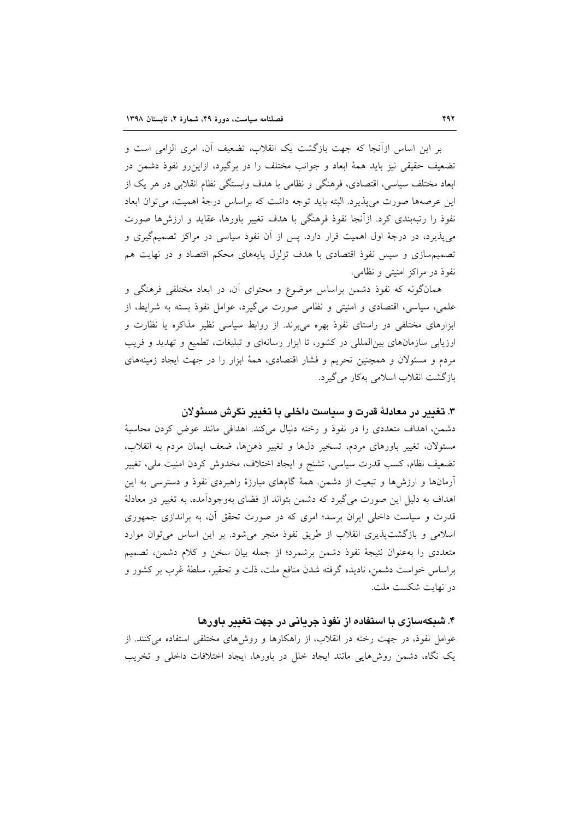بر این اساس ازآنجا که جهت بازگشت یک انقلاب، تضعیف آن، امری الزامی است و تضعیف حقیقی نیز باید همهٔ ابعاد و جوانب مختلف را در برگیرد، ازاین و نفوذ دشمن در ابعاد مختلف سیاسی، اقتصادی، فرهنگی و نظامی با هدف وابستگی نظام انقلابی در هر یک از این عرصهها صورت می پذیرد. البته باید توجه داشت که براساس درجهٔ اهمیت، می توان ابعاد نفوذ را رتبهبندی کرد. ازآنجا نفوذ فرهنگی با هدف تغییر باورها، عقاید و ارزشها صورت می پذیرد، در درجهٔ اول اهمیت قرار دارد. پس از آن نفوذ سیاسی در مراکز تصمیمگیری و تصمیم سازی و سپس نفوذ اقتصادی با هدف تزلزل پایههای محکم اقتصاد و در نهایت هم نفوذ در مراكز امنيتي و نظامي.

همانگونه که نفوذ دشمن براساس موضوع و محتوای آن، در ابعاد مختلفی فرهنگی و علمي، سياسي، اقتصادي و امنيتي و نظامي صورت مي گيرد، عوامل نفوذ بسته به شرايط، از ابزارهای مختلفی در راستای نفوذ بهره می برند. از روابط سیاسی نظیر مذاکره یا نظارت و ارزیابی سازمانهای بینالمللی در کشور، تا ابزار رسانهای و تبلیغات، تطمیع و تهدید و فریب مردم و مسئولان و همچنین تحریم و فشار اقتصادی، همهٔ ابزار را در جهت ایجاد زمینههای بازگشت انقلاب اسلامی بهکار می گیرد.

### ۳. تغییر در معادلهٔ قدرت و سیاست داخلی با تغییر نگرش مسئولان

دشمن، اهداف متعددی را در نفوذ و رخنه دنبال میکند. اهدافی مانند عوض کردن محاسبهٔ مسئولان، تغییر باورهای مردم، تسخیر دلها و تغییر ذهنها، ضعف ایمان مردم به انقلاب، تضعیف نظام، کسب قدرت سیاسی، تشنج و ایجاد اختلاف، مخدوش کردن امنیت ملی، تغییر آرمانها و ارزشها و تبعیت از دشمن. همهٔ گامهای مبارزهٔ راهبردی نفوذ و دسترسی به این اهداف به دلیل این صورت میگیرد که دشمن بتواند از فضای بهوجودآمده، به تغییر در معادلهٔ قدرت و سیاست داخلی ایران برسد؛ امری که در صورت تحقق آن، به براندازی جمهوری اسلامی و بازگشتپذیری انقلاب از طریق نفوذ منجر میشود. بر این اساس میتوان موارد متعددی را بهعنوان نتیجهٔ نفوذ دشمن برشمرد؛ از جمله بیان سخن و کلام دشمن، تصمیم براساس خواست دشمن، نادیده گرفته شدن منافع ملت، ذلت و تحقیر، سلطهٔ غرب بر کشور و در نهایت شکست ملت.

## ۴. شبکهسازی با استفاده از نفوذ جریانی در جهت تغییر باورها

عوامل نفوذ، در جهت رخنه در انقلاب، از راهكارها و روشهاى مختلفى استفاده مى كنند. از یک نگاه، دشمن روشهایی مانند ایجاد خلل در باورها، ایجاد اختلافات داخلی و تخریب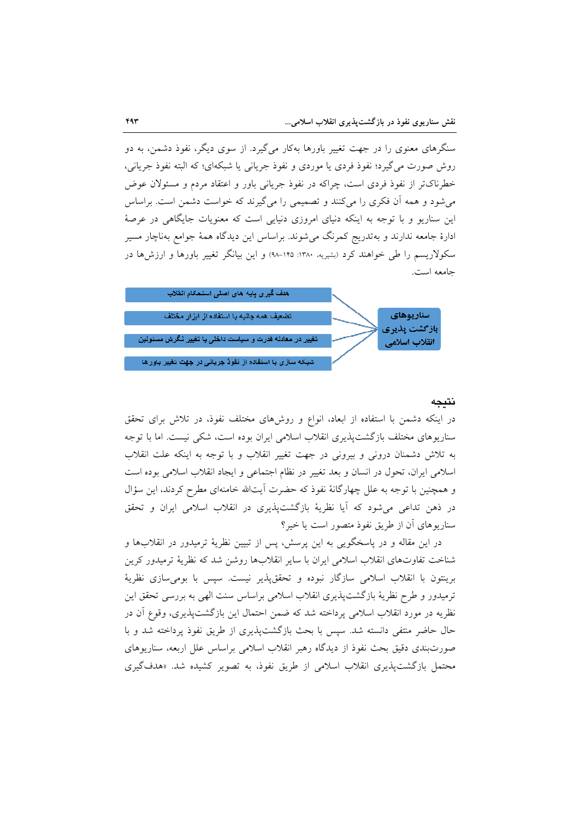سنگرهای معنوی را در جهت تغییر باورها بهکار میگیرد. از سوی دیگر، نفوذ دشمن، به دو روش صورت مي گيرد؛ نفوذ فردي يا موردي و نفوذ جرياني يا شبكهاي؛ كه البته نفوذ جرياني، خطرناکتر از نفوذ فردی است، چراکه در نفوذ جریانی باور و اعتقاد مردم و مسئولان عوض می شود و همه آن فکری را می کنند و تصمیمی را می گیرند که خواست دشمن است. براساس این سناریو و با توجه به اینکه دنیای امروزی دنیایی است که معنویات جایگاهی در عرصهٔ ادارهٔ جامعه ندارند و بهتدریج کمرنگ میشوند. براساس این دیدگاه همهٔ جوامع بهناچار مسیر سکولاریسم را طی خواهند کرد (بشیریه، ۱۳۸۰: ۱۴۵–۹۸) و این بیانگر تغییر باورها و ارزشها در جامعه است.



### نتىجە

در اینکه دشمن با استفاده از ابعاد، انواع و روشهای مختلف نفوذ، در تلاش برای تحقق سناریوهای مختلف بازگشتپذیری انقلاب اسلامی ایران بوده است، شکی نیست. اما با توجه به تلاش دشمنان درونی و بیرونی در جهت تغییر انقلاب و با توجه به اینکه علت انقلاب اسلامی ایران، تحول در انسان و بعد تغییر در نظام اجتماعی و ایجاد انقلاب اسلامی بوده است و همچنین با توجه به علل چهارگانهٔ نفوذ که حضرت آیتالله خامنهای مطرح کردند، این سؤال در ذهن تداعی میشود که آیا نظریهٔ بازگشتپذیری در انقلاب اسلامی ایران و تحقق سناریوهای آن از طریق نفوذ متصور است یا خیر؟

در این مقاله و در پاسخگویی به این پرسش، پس از تبیین نظریهٔ ترمیدور در انقلابها و شناخت تفاوتهای انقلاب اسلامی ایران با سایر انقلابها روشن شد که نظریهٔ ترمیدور کرین برینتون با انقلاب اسلامی سازگار نبوده و تحققپذیر نیست. سپس با بومیسازی نظریهٔ ترمیدور و طرح نظریهٔ بازگشتپذیری انقلاب اسلامی براساس سنت الهی به بررسی تحقق این نظريه در مورد انقلاب اسلامي يرداخته شد كه ضمن احتمال اين بازگشتيذيري، وقوع آن در حال حاضر منتفى دانسته شد. سيس با بحث بازگشتيذيري از طريق نفوذ پرداخته شد و با صورتبندی دقیق بحث نفوذ از دیدگاه رهبر انقلاب اسلامی براساس علل اربعه، سناریوهای محتمل بازگشت پذیری انقلاب اسلامی از طریق نفوذ، به تصویر کشیده شد. «هدفگیری